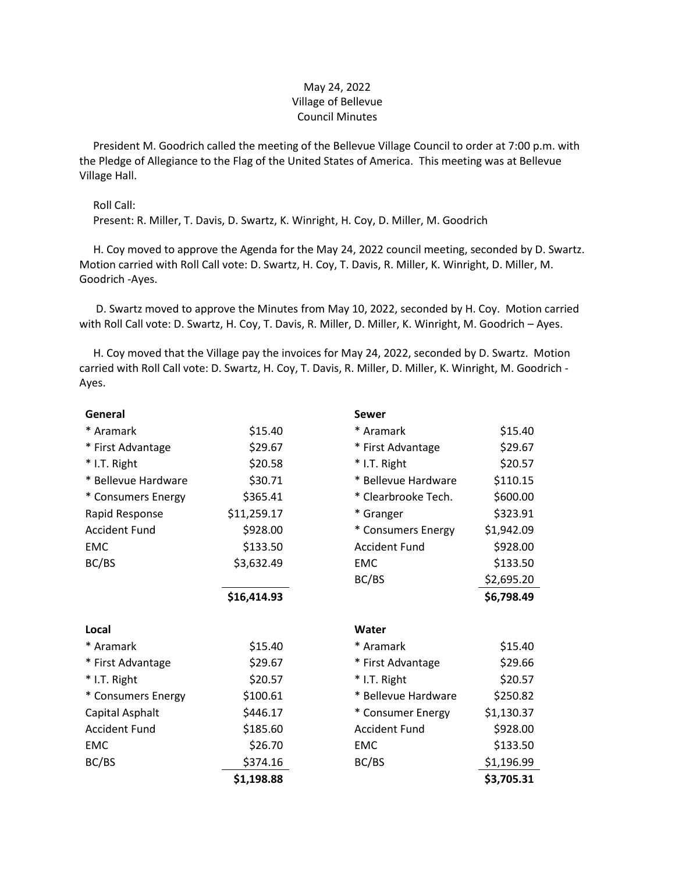## May 24, 2022 Village of Bellevue Council Minutes

 President M. Goodrich called the meeting of the Bellevue Village Council to order at 7:00 p.m. with the Pledge of Allegiance to the Flag of the United States of America. This meeting was at Bellevue Village Hall.

## Roll Call:

Present: R. Miller, T. Davis, D. Swartz, K. Winright, H. Coy, D. Miller, M. Goodrich

 H. Coy moved to approve the Agenda for the May 24, 2022 council meeting, seconded by D. Swartz. Motion carried with Roll Call vote: D. Swartz, H. Coy, T. Davis, R. Miller, K. Winright, D. Miller, M. Goodrich -Ayes.

 D. Swartz moved to approve the Minutes from May 10, 2022, seconded by H. Coy. Motion carried with Roll Call vote: D. Swartz, H. Coy, T. Davis, R. Miller, D. Miller, K. Winright, M. Goodrich – Ayes.

 H. Coy moved that the Village pay the invoices for May 24, 2022, seconded by D. Swartz. Motion carried with Roll Call vote: D. Swartz, H. Coy, T. Davis, R. Miller, D. Miller, K. Winright, M. Goodrich - Ayes.

| General              |             | <b>Sewer</b>         |            |
|----------------------|-------------|----------------------|------------|
| * Aramark            | \$15.40     | * Aramark            | \$15.40    |
| * First Advantage    | \$29.67     | * First Advantage    | \$29.67    |
| * I.T. Right         | \$20.58     | * I.T. Right         | \$20.57    |
| * Bellevue Hardware  | \$30.71     | * Bellevue Hardware  | \$110.15   |
| * Consumers Energy   | \$365.41    | * Clearbrooke Tech.  | \$600.00   |
| Rapid Response       | \$11,259.17 | * Granger            | \$323.91   |
| <b>Accident Fund</b> | \$928.00    | * Consumers Energy   | \$1,942.09 |
| <b>EMC</b>           | \$133.50    | <b>Accident Fund</b> | \$928.00   |
| BC/BS                | \$3,632.49  | <b>EMC</b>           | \$133.50   |
|                      |             | BC/BS                | \$2,695.20 |
|                      | \$16,414.93 |                      | \$6,798.49 |
|                      |             |                      |            |
| Local                |             | Water                |            |
| * Aramark            | \$15.40     | * Aramark            | \$15.40    |
| * First Advantage    | \$29.67     | * First Advantage    | \$29.66    |
| * I.T. Right         | \$20.57     | * I.T. Right         | \$20.57    |
| * Consumers Energy   | \$100.61    | * Bellevue Hardware  | \$250.82   |
| Capital Asphalt      | \$446.17    | * Consumer Energy    | \$1,130.37 |
| <b>Accident Fund</b> | \$185.60    | <b>Accident Fund</b> | \$928.00   |
| <b>EMC</b>           | \$26.70     | <b>EMC</b>           | \$133.50   |
| BC/BS                | \$374.16    | BC/BS                | \$1,196.99 |
|                      | \$1,198.88  |                      | \$3,705.31 |